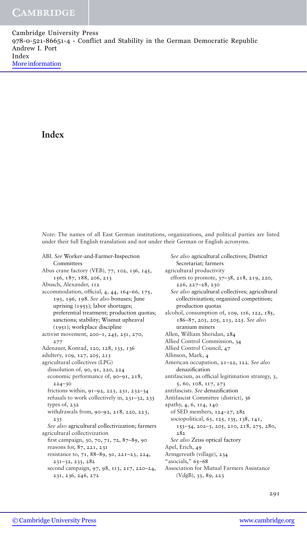Cambridge University Press 978-0-521-86651-4 - Conflict and Stability in the German Democratic Republic Andrew I. Port Index [More information](http://www.cambridge.org/0521866510)

# **Index**

*Note*: The names of all East German institutions, organizations, and political parties are listed under their full English translation and not under their German or English acronyms.

ABI. *See* Worker-and-Farmer-Inspection **Committees** Abus crane factory (VEB), 77, 102, 136, 145, 156, 187, 188, 206, 213 Abusch, Alexander, 112 accommodation, official, 4, 44, 164–66, 175, 193, 196, 198. *See also* bonuses; June uprising (1953); labor shortages; preferential treatment; production quotas; sanctions; stability; Wismut upheaval (1951); workplace discipline activist movement, 200–1, 245, 251, 270, 277 Adenauer, Konrad, 120, 128, 133, 136 adultery, 109, 127, 205, 213 agricultural collectives (LPG) dissolution of, 90, 91, 220, 224 economic performance of, 90–91, 218, 224–30 frictions within, 91–92, 223, 231, 232–34 refusals to work collectively in, 231–32, 233 types of, 232 withdrawals from, 90–92, 218, 220, 223, 233 *See also* agricultural collectivization; farmers agricultural collectivization first campaign, 30, 70, 71, 72, 87–89, 90 reasons for, 87, 221, 231 resistance to, 71, 88–89, 91, 221–23, 224, 231–32, 233, 282 second campaign, 97, 98, 113, 217, 220–24, 231, 236, 246, 272

*See also* agricultural collectives; District Secretariat; farmers agricultural productivity efforts to promote, 37–38, 218, 219, 220, 226, 227–28, 230 *See also* agricultural collectives; agricultural collectivization; organized competition; production quotas alcohol, consumption of, 109, 116, 122, 185, 186–87, 203, 205, 213, 225. *See also* uranium miners Allen, William Sheridan, 284 Allied Control Commission, 34 Allied Control Council, 47 Allinson, Mark, 4 American occupation, 21–22, 122. *See also* denazification antifascism, as official legitimation strategy, 3, 5, 60, 108, 117, 273 antifascists. *See* denazification Antifascist Committee (district), 36 apathy, 4, 6, 114, 140 of SED members, 124–27, 282 sociopolitical, 63, 125, 135, 138, 141, 153–54, 202–3, 205, 210, 218, 275, 280, 282 *See also* Zeiss optical factory Apel, Erich, 49 Arnsgereuth (village), 234 "asocials," 65–68 Association for Mutual Farmers Assistance (VdgB), 33, 89, 223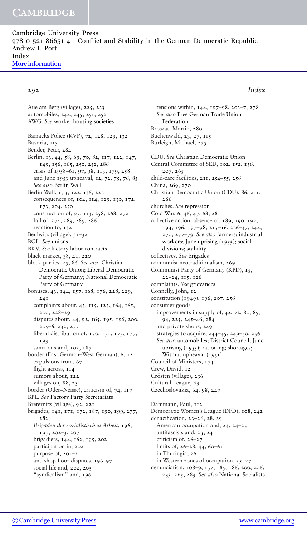Cambridge University Press 978-0-521-86651-4 - Conflict and Stability in the German Democratic Republic Andrew I. Port Index [More information](http://www.cambridge.org/0521866510)

### 292 *Index*

Aue am Berg (village), 225, 233 automobiles, 244, 245, 251, 252 AWG. *See* worker housing societies Barracks Police (KVP), 72, 128, 129, 132 Bavaria, 113 Bender, Peter, 284 Berlin, 13, 44, 58, 69, 70, 82, 117, 122, 147, 149, 156, 165, 250, 252, 286 crisis of 1958–61, 97, 98, 113, 179, 258 and June 1953 upheaval, 12, 72, 75, 76, 85 *See also* Berlin Wall Berlin Wall, 1, 3, 122, 136, 223 consequences of, 104, 114, 129, 130, 172, 173, 204, 250 construction of, 97, 113, 258, 268, 272 fall of, 274, 283, 285, 286 reaction to, 132 Beulwitz (village), 31–32 BGL. *See* unions BKV. *See* factory labor contracts black market, 38, 41, 220 block parties, 25, 86. *See also* Christian Democratic Union; Liberal Democratic Party of Germany; National Democratic Party of Germany bonuses, 43, 144, 157, 168, 176, 228, 229, 241 complaints about, 43, 115, 123, 164, 165, 200, 228–29 disputes about, 44, 92, 165, 195, 196, 200, 205–6, 232, 277 liberal distribution of, 170, 171, 175, 177, 193 sanctions and, 102, 187 border (East German–West German), 6, 12 expulsions from, 67 flight across,  $114$ rumors about, 122 villages on, 88, 251 border (Oder–Neisse), criticism of, 74, 117 BPL. *See* Factory Party Secretariats Breternitz (village), 92, 221 brigades, 141, 171, 172, 187, 190, 199, 277, 282 *Brigaden der sozialistischen Arbeit*, 196, 197, 202–3, 207 brigadiers, 144, 162, 195, 202 participation in, 202 purpose of, 201–2 and shop-floor disputes, 196–97 social life and, 202, 203 "syndicalism" and, 196

tensions within, 144, 197–98, 203–7, 278 *See also* Free German Trade Union Federation Broszat, Martin, 280 Buchenwald, 23, 27, 115 Burleigh, Michael, 275 CDU. *See* Christian Democratic Union Central Committee of SED, 102, 152, 156, 207, 265 child-care facilities, 211, 254–55, 256 China, 269, 270 Christian Democratic Union (CDU), 86, 211, 266 churches. *See* repression Cold War, 6, 46, 47, 68, 281 collective action, absence of, 189, 190, 192, 194, 196, 197–98, 215–16, 236–37, 244, 270, 277–79. *See also* farmers; industrial workers; June uprising (1953); social divisions; stability collectives. *See* brigades communist neotraditionalism, 269 Communist Party of Germany (KPD), 15, 22–24, 115, 126 complaints. *See* grievances Connelly, John, 12 constitution (1949), 196, 207, 256 consumer goods improvements in supply of, 42, 72, 80, 85, 94, 225, 245–46, 284 and private shops, 249 strategies to acquire, 244–45, 249–50, 256 *See also* automobiles; District Council; June uprising (1953); rationing; shortages; Wismut upheaval (1951) Council of Ministers, 174 Crew, David, 12 Crösten (village), 236 Cultural League, 63 Czechoslovakia, 64, 98, 247 Dammann, Paul, 112 Democratic Women's League (DFD), 108, 242 denazification, 23–26, 28, 39 American occupation and, 23, 24–25 antifascists and, 23, 24 criticism of, 26–27

limits of, 26–28, 44, 60–61 in Thuringia, 26

in Western zones of occupation, 25, 27

denunciation, 108–9, 137, 185, 186, 200, 206, 233, 265, 283. *See also* National Socialists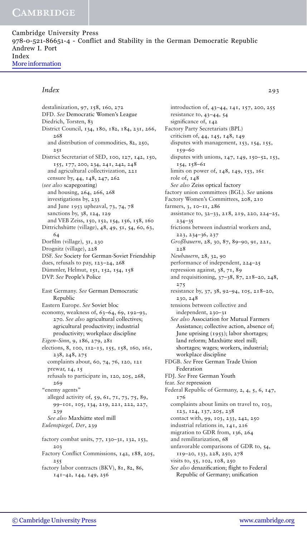Cambridge University Press 978-0-521-86651-4 - Conflict and Stability in the German Democratic Republic Andrew I. Port Index [More information](http://www.cambridge.org/0521866510)

### *Index* 293

destalinization, 97, 158, 160, 272 DFD. *See* Democratic Women's League Diedrich, Torsten, 83 District Council, 134, 180, 182, 184, 231, 266, 268 and distribution of commodities, 82, 250, 251 District Secretariat of SED, 100, 127, 142, 150, 155, 177, 200, 234, 241, 242, 248 and agricultural collectivization, 221 censure by, 44, 148, 247, 262 (*see also* scapegoating) and housing, 264, 266, 268 investigations by, 233 and June 1953 upheaval, 73, 74, 78 sanctions by, 38, 124, 129 and VEB Zeiss, 150, 152, 154, 156, 158, 160 Dittrichshütte (village), 48, 49, 51, 54, 60, 63, 64 Dorfilm (village), 31, 230 Drognitz (village), 228 DSF. *See* Society for German-Soviet Friendship dues, refusals to pay, 123–24, 268 Dümmler, Helmut, 151, 152, 154, 158 DVP. *See* People's Police East Germany. *See* German Democratic Republic Eastern Europe. *See* Soviet bloc economy, weakness of, 63–64, 69, 192–93, 270. *See also* agricultural collectives; agricultural productivity; industrial productivity; workplace discipline *Eigen–Sinn*, 9, 186, 279, 281 elections, 8, 100, 112–13, 155, 158, 160, 161, 238, 248, 275 complaints about, 60, 74, 76, 120, 121 prewar, 14, 15 refusals to participate in, 120, 205, 268, 269 "enemy agents" alleged activity of, 59, 61, 71, 73, 75, 89, 99–101, 105, 134, 219, 221, 222, 227, 239 See also Maxhütte steel mill *Eulenspiegel, Der*, 239 factory combat units, 77, 130–31, 132, 153, 203 Factory Conflict Commissions, 142, 188, 205, 255 factory labor contracts (BKV), 81, 82, 86, 141–42, 144, 149, 256

introduction of, 43–44, 141, 157, 200, 255 resistance to, 43–44, 54 significance of,  $142$ Factory Party Secretariats (BPL) criticism of, 44, 145, 148, 149 disputes with management, 153, 154, 155, 159–60 disputes with unions, 147, 149, 150–52, 153, 154, 158–61 limits on power of, 148, 149, 153, 161 role of, 148 *See also* Zeiss optical factory factory union committees (BGL). *See* unions Factory Women's Committees, 208, 210 farmers, 3, 10–11, 286 assistance to, 32–33, 218, 219, 220, 224–25, 234–35 frictions between industrial workers and, 223, 234–36, 237 *Großbauern*, 28, 30, 87, 89–90, 91, 221, 228 *Neubauern*, 28, 32, 90 performance of independent, 224–25 repression against, 38, 71, 89 and requisitioning, 37–38, 87, 218–20, 248, 275 resistance by, 37, 38, 92–94, 105, 218–20, 230, 248 tensions between collective and independent, 230–31 *See also* Association for Mutual Farmers Assistance; collective action, absence of; June uprising (1953); labor shortages; land reform; Maxhütte steel mill; shortages; wages; workers, industrial; workplace discipline FDGB. *See* Free German Trade Union Federation FDJ. *See* Free German Youth fear. *See* repression Federal Republic of Germany, 2, 4, 5, 6, 147, 176 complaints about limits on travel to, 103, 123, 124, 137, 205, 238 contact with, 99, 103, 233, 242, 250 industrial relations in, 141, 216 migration to GDR from, 136, 264 and remilitarization, 68 unfavorable comparisons of GDR to, 54, 119–20, 133, 228, 250, 278 visits to, 55, 102, 108, 250 *See also* denazification; flight to Federal Republic of Germany; unification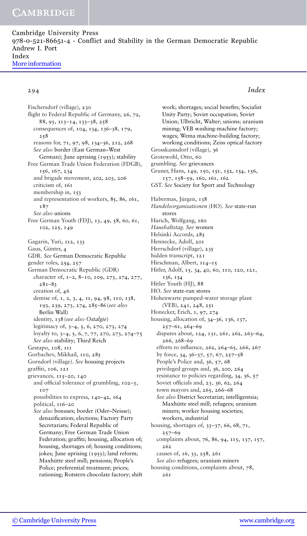Cambridge University Press 978-0-521-86651-4 - Conflict and Stability in the German Democratic Republic Andrew I. Port Index [More information](http://www.cambridge.org/0521866510)

### 294 *Index*

Fischersdorf (village), 230 flight to Federal Republic of Germany, 26, 72, 88, 93, 113–14, 133–38, 258 consequences of, 104, 134, 136–38, 179, 258 reasons for, 71, 97, 98, 134–36, 212, 268 *See also* border (East German–West German); June uprising (1953); stability Free German Trade Union Federation (FDGB), 156, 167, 234 and brigade movement, 202, 203, 206 criticism of, 161 membership in, 153 and representation of workers, 85, 86, 161, 187 *See also* unions Free German Youth (FDJ), 13, 49, 58, 60, 61, 102, 125, 149 Gagarin, Yuri, 112, 133 Gaus, Günter, 4 GDR. *See* German Democratic Republic gender roles, 254, 257 German Democratic Republic (GDR) character of, 1–2, 8–10, 109, 273, 274, 277, 281–83 creation of, 46 demise of, 1, 2, 3, 4, 11, 94, 98, 110, 138, 193, 239, 273, 274, 285–86(*see also* Berlin Wall) identity, 138(*see also Ostalgie*) legitimacy of, 3–4, 5, 6, 270, 273, 274 loyalty to, 3–4, 5, 6, 7, 77, 270, 273, 274–75 *See also* stability; Third Reich Gestapo, 108, 111 Gorbachev, Mikhail, 110, 285 Gorndorf (village). *See* housing projects graffiti, 106, 121 grievances, 115–20, 140 and official tolerance of grumbling, 102–3, 107 possibilities to express, 140–42, 164 political, 116–20 *See also* bonuses; border (Oder–Neisse); denazification; elections; Factory Party Secretariats; Federal Republic of Germany; Free German Trade Union Federation; graffiti; housing, allocation of; housing, shortages of; housing conditions; jokes; June uprising (1953); land reform; Maxhütte steel mill; pensions; People's Police; preferential treatment; prices; rationing; Rotstern chocolate factory; shift

work; shortages; social benefits; Socialist Unity Party; Soviet occupation; Soviet Union; Ulbricht, Walter; unions; uranium mining; VEB washing-machine factory; wages; Wema machine-building factory; working conditions; Zeiss optical factory Grosskamsdorf (village), 36 Grotewohl, Otto, 60 grumbling. *See* grievances Gruner, Hans, 149, 150, 151, 152, 154, 156, 157, 158–59, 160, 161, 162 GST. *See* Society for Sport and Technology Habermas, Jürgen, 138 *Handelsorganisationen* (HO). *See* state-run stores Harich, Wolfgang, 160 *Haushaltstag. See* women Helsinki Accords, 285 Hennecke, Adolf, 201 Herrschdorf (village), 235 hidden transcript, 121 Hirschman, Albert, 114-15 Hitler, Adolf, 15, 34, 40, 60, 110, 120, 121, 136, 154 Hitler Youth (HJ), 88 HO. *See* state-run stores Hohenwarte pumped-water storage plant (VEB), 241, 248, 251 Honecker, Erich, 1, 97, 274 housing, allocation of, 34–36, 136, 137, 257–61, 264–69 disputes about, 124, 131, 261, 262, 263–64, 266, 268–69 efforts to influence, 262, 264–65, 266, 267 by force, 34, 36–37, 57, 67, 257–58 People's Police and, 36, 57, 68 privileged groups and, 36, 200, 264 resistance to policies regarding, 34, 36, 57 Soviet officials and, 23, 36, 62, 264 town mayors and, 265, 266–68 *See also* District Secretariat; intelligentsia; Maxhütte steel mill; refugees; uranium miners; worker housing societies; workers, industrial housing, shortages of, 33–37, 66, 68, 71, 257–69 complaints about, 76, 86, 94, 115, 137, 157, 262 causes of, 16, 33, 258, 261 *See also* refugees; uranium miners housing conditions, complaints about, 78,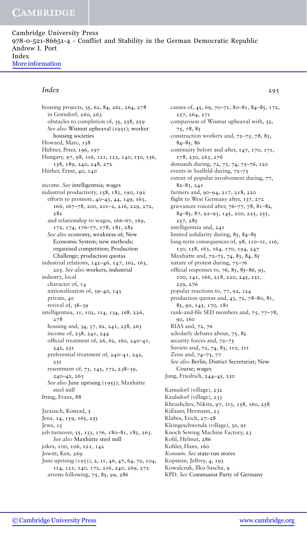Cambridge University Press 978-0-521-86651-4 - Conflict and Stability in the German Democratic Republic Andrew I. Port Index [More information](http://www.cambridge.org/0521866510)

### *Index* 295

housing projects, 35, 62, 84, 261, 264, 278 in Gorndorf, 260, 263 obstacles to completion of, 35, 258, 259 *See also* Wismut upheaval (1951); worker housing societies Howard, Marc, 138 Hübner, Peter, 196, 197 Hungary, 97, 98, 116, 121, 123, 140, 150, 156, 158, 189, 240, 248, 272 Hüther, Ernst, 40, 140 income. *See* intelligentsia; wages industrial productivity, 158, 183, 190, 192 efforts to promote, 40–43, 44, 149, 163, 166, 167–78, 200, 201–2, 216, 229, 272, 282 and relationship to wages, 166–67, 169, 172, 174, 176–77, 178, 181, 282 *See also* economy, weakness of; New Economic System; new methods; organized competition; Production Challenge; production quotas industrial relations, 142–46, 147, 162, 163, 205. *See also* workers, industrial industry, local character of, 14 nationalization of, 39–40, 143 private, 40 revival of, 38–39 intelligentsia, 11, 102, 114, 134, 168, 226, 278 housing and, 34, 37, 62, 241, 258, 263 income of, 238, 241, 244 official treatment of, 26, 62, 160, 240–41, 242, 251 preferential treatment of, 240–41, 242, 251 resentment of, 73, 145, 172, 238–39, 240–42, 263 *See also* June uprising (1953); Maxhütte steel mill Itting, Franz, 88 Jarausch, Konrad, 5 Jena, 14, 159, 165, 253 Jews, 15 job turnover, 55, 133, 176, 180–81, 183, 263. *See also* Maxhütte steel mill jokes, 100, 106, 121, 142 Jowitt, Ken, 269 June uprising (1953), 2, 11, 46, 47, 64, 72, 104, 114, 121, 140, 172, 216, 240, 269, 272 arrests following, 75, 85, 99, 286

causes of, 45, 69, 70–71, 80–81, 84–85, 172, 257, 264, 271 comparison of Wismut upheaval with, 52, 75, 78, 85 construction workers and, 72–75, 78, 83, 84–85, 86 continuity before and after, 147, 170, 171, 178, 230, 263, 276 demands during, 72, 73, 74, 75–76, 120 events in Saalfeld during, 72–75 extent of popular involvement during, 77, 82–83, 241 farmers and, 90–94, 217, 218, 220 flight to West Germany after, 137, 272 grievances voiced after, 76–77, 78, 81–82, 84–85, 87, 92–93, 145, 200, 225, 255, 257, 285 intelligentsia and, 241 limited solidarity during, 83, 84–85 long-term consequences of, 98, 110–11, 116, 130, 158, 163, 164, 170, 194, 247 Maxhütte and, 72-73, 74, 83, 84, 85 nature of protest during, 75–76 official responses to, 76, 83, 85–86, 93, 100, 141, 166, 218, 220, 245, 251, 259, 276 popular reactions to, 77, 92, 124 production quotas and, 43, 72, 78–80, 81, 85, 90, 145, 170, 181 rank-and-file SED members and, 75, 77–78, 90, 160 RIAS and, 72, 76 scholarly debates about, 75, 82 security forces and, 72–75 Soviets and, 72, 74, 83, 110, 111 Zeiss and, 74–75, 77 *See also* Berlin; District Secretariat; New Course; wages Jung, Friedrich, 244–45, 250 Kamsdorf (village), 232 Kaulsdorf (village), 233 Khrushchev, Nikita, 97, 113, 158, 160, 258 Kißauer, Hermann, 23 Klabes, Erich, 27–28 Kleingeschwenda (village), 30, 91 Knoch Sewing Machine Factory, 23 Kohl, Helmut, 286 Kohler, Hans, 160 *Konsum*. *See* state-run stores Kopstein, Jeffrey, 4, 193 Kowalczuk, Ilko-Sascha, 9

KPD. *See* Communist Party of Germany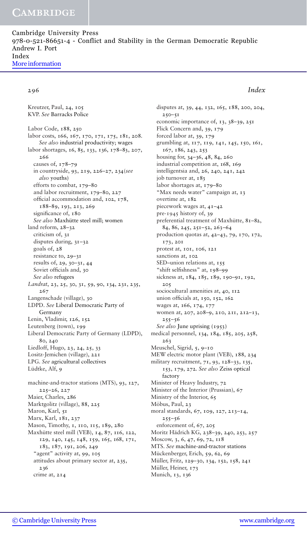Cambridge University Press 978-0-521-86651-4 - Conflict and Stability in the German Democratic Republic Andrew I. Port Index [More information](http://www.cambridge.org/0521866510)

### 296 *Index*

Kreutzer, Paul, 24, 105 KVP. *See* Barracks Police Labor Code, 188, 250 labor costs, 166, 167, 170, 171, 175, 181, 208. *See also* industrial productivity; wages labor shortages, 16, 85, 133, 136, 178–83, 207, 266 causes of, 178–79 in countryside, 93, 219, 226–27, 234(*see also* youths) efforts to combat, 179–80 and labor recruitment, 179–80, 227 official accommodation and, 102, 178, 188–89, 193, 213, 269 significance of, 180 See also Maxhütte steel mill; women land reform, 28–32 criticism of, 31 disputes during, 31–32 goals of, 28 resistance to, 29–31 results of, 29, 30–31, 44 Soviet officials and, 30 *See also* refugees *Landrat*, 23, 25, 30, 31, 59, 90, 134, 231, 235, 267 Langenschade (village), 30 LDPD. *See* Liberal Democratic Party of Germany Lenin, Vladimir, 126, 152 Leutenberg (town), 199 Liberal Democratic Party of Germany (LDPD), 80, 240 Liedloff, Hugo, 23, 24, 25, 33 Lositz-Jemichen (village), 221 LPG. *See* agricultural collectives Lüdtke, Alf, 9 machine-and-tractor stations (MTS), 93, 127, 225–26, 227 Maier, Charles, 286 Marktgolitz (village), 88, 225 Maron, Karl, 51 Marx, Karl, 181, 237 Mason, Timothy, 1, 110, 115, 189, 280 Maxhütte steel mill (VEB), 14, 87, 116, 122, 129, 140, 145, 148, 159, 165, 168, 171, 183, 187, 191, 206, 249 "agent" activity at, 99, 105 attitudes about primary sector at, 235, 236 crime at, 214

disputes at, 39, 44, 132, 165, 188, 200, 204,  $250 - 51$ economic importance of, 13, 38–39, 251 Flick Concern and, 39, 179 forced labor at, 39, 179 grumbling at, 117, 119, 141, 145, 150, 161, 167, 186, 243, 253 housing for, 34–36, 48, 84, 260 industrial competition at, 168, 169 intelligentsia and, 26, 240, 241, 242 job turnover at, 183 labor shortages at, 179–80 "Max needs water" campaign at, 13 overtime at, 182 piecework wages at, 41–42 pre-1945 history of, 39 preferential treatment of Maxhütte, 81-82, 84, 86, 245, 251–52, 263–64 production quotas at, 42–43, 79, 170, 172, 173, 201 protest at, 101, 106, 121 sanctions at, 102 SED-union relations at, 155 "shift selfishness" at, 198–99 sickness at, 184, 185, 189, 190–91, 192, 205 sociocultural amenities at, 40, 112 union officials at, 150, 152, 162 wages at, 166, 174, 177 women at, 207, 208–9, 210, 211, 212–13, 255–56 *See also* June uprising (1953) medical personnel, 134, 184, 185, 205, 258, 263 Meuschel, Sigrid, 5, 9–10 MEW electric motor plant (VEB), 188, 234 military recruitment, 71, 93, 128–33, 135, 153, 179, 272. *See also* Zeiss optical factory Minister of Heavy Industry, 72 Minister of the Interior (Prussian), 67 Ministry of the Interior, 65 Möbus, Paul, 23 moral standards, 67, 109, 127, 213–14, 255–56 enforcement of, 67, 205 Moritz Hädrich KG, 238-39, 240, 253, 257 Moscow, 3, 6, 47, 69, 72, 118 MTS. *See* machine-and-tractor stations Mückenberger, Erich, 59, 62, 69 Müller, Fritz, 129-30, 134, 152, 158, 241 Müller, Heiner, 173 Munich, 13, 136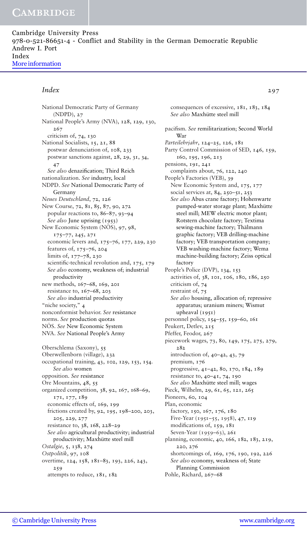Cambridge University Press 978-0-521-86651-4 - Conflict and Stability in the German Democratic Republic Andrew I. Port Index [More information](http://www.cambridge.org/0521866510)

### *Index* 297

National Democratic Party of Germany (NDPD), 27 National People's Army (NVA), 128, 129, 130, 267 criticism of, 74, 130 National Socialists, 15, 21, 88 postwar denunciation of, 108, 233 postwar sanctions against, 28, 29, 31, 34, 47 *See also* denazification; Third Reich nationalization. *See* industry, local NDPD. *See* National Democratic Party of Germany *Neues Deutschland*, 72, 126 New Course, 72, 81, 85, 87, 90, 272 popular reactions to, 86–87, 93–94 *See also* June uprising (1953) New Economic System (NÖS), 97, 98, 175–77, 245, 271 economic levers and, 175–76, 177, 229, 230 features of, 175–76, 204 limits of, 177–78, 230 scientific-technical revolution and, 175, 179 *See also* economy, weakness of; industrial productivity new methods, 167–68, 169, 201 resistance to, 167–68, 203 *See also* industrial productivity "niche society," 4 nonconformist behavior. *See* resistance norms. *See* production quotas NOS. See New Economic System NVA. *See* National People's Army Oberschlema (Saxony), 55 Oberwellenborn (village), 232 occupational training, 43, 102, 129, 153, 154. *See also* women opposition. *See* resistance Ore Mountains, 48, 55 organized competition, 38, 92, 167, 168–69, 171, 177, 189 economic effects of, 169, 199 frictions created by, 92, 195, 198–200, 203, 205, 229, 277 resistance to, 38, 168, 228–29 *See also* agricultural productivity; industrial productivity; Maxhütte steel mill *Ostalgie*, 5, 138, 274 *Ostpolitik*, 97, 108 overtime, 124, 158, 181–83, 193, 226, 243, 259 attempts to reduce, 181, 182

consequences of excessive, 181, 183, 184 See also Maxhütte steel mill pacifism. *See* remilitarization; Second World War *Parteilehrjahr*, 124–25, 126, 181 Party Control Commission of SED, 146, 159, 160, 195, 196, 213 pensions, 191, 241 complaints about, 76, 122, 240 People's Factories (VEB), 39 New Economic System and, 175, 177 social services at, 84, 250–51, 253 *See also* Abus crane factory; Hohenwarte pumped-water storage plant; Maxhütte steel mill; MEW electric motor plant; Rotstern chocolate factory; Textima sewing-machine factory; Thälmann graphic factory; VEB drilling-machine factory; VEB transportation company; VEB washing-machine factory; Wema machine-building factory; Zeiss optical factory People's Police (DVP), 134, 153 activities of, 38, 101, 106, 180, 186, 250 criticism of, 74 restraint of, 75 *See also* housing, allocation of; repressive apparatus; uranium miners; Wismut upheaval (1951) personnel policy, 154–55, 159–60, 161 Peukert, Detlev, 215 Pfeffer, Feodor, 267 piecework wages, 73, 80, 149, 175, 275, 279, 282 introduction of, 40–42, 43, 79 premium, 176 progressive, 41–42, 80, 170, 184, 189 resistance to, 40–41, 74, 190 *See also* Maxhütte steel mill; wages Pieck, Wilhelm, 29, 61, 65, 121, 265 Pioneers, 60, 104 Plan, economic factory, 150, 167, 176, 180 Five-Year (1951–55, 1958), 47, 119 modifications of, 159, 181 Seven-Year (1959–63), 261 planning, economic, 40, 166, 182, 183, 219, 220, 276 shortcomings of, 169, 176, 190, 192, 226 *See also* economy, weakness of; State Planning Commission Pohle, Richard, 267–68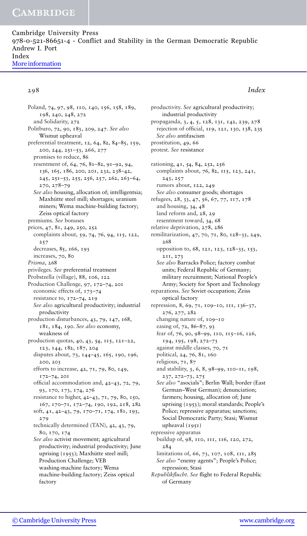Cambridge University Press 978-0-521-86651-4 - Conflict and Stability in the German Democratic Republic Andrew I. Port Index [More information](http://www.cambridge.org/0521866510)

### 298 *Index*

Poland, 74, 97, 98, 110, 140, 156, 158, 189, 198, 240, 248, 272 and Solidarity, 272 Politburo, 72, 90, 183, 209, 247. *See also* Wismut upheaval preferential treatment, 12, 64, 82, 84–85, 159, 200, 244, 251–53, 266, 277 promises to reduce, 86 resentment of, 64, 76, 81–82, 91–92, 94, 136, 165, 186, 200, 201, 232, 238–42, 245, 251–53, 255, 256, 257, 262, 263–64, 270, 278–79 *See also* housing, allocation of; intelligentsia; Maxhütte steel mill; shortages; uranium miners; Wema machine-building factory; Zeiss optical factory premiums. *See* bonuses prices, 47, 81, 249, 250, 252 complaints about, 59, 74, 76, 94, 115, 122, 257 decreases, 85, 166, 193 increases, 70, 80 *Prisma*, 268 privileges. *See* preferential treatment Probstzella (village), 88, 106, 122 Production Challenge, 97, 172–74, 201 economic effects of, 173–74 resistance to, 172–74, 219 *See also* agricultural productivity; industrial productivity production disturbances, 43, 79, 147, 168, 181, 184, 190. *See also* economy, weakness of production quotas, 40, 43, 54, 115, 121–22, 123, 144, 182, 187, 204 disputes about, 73, 144–45, 165, 190, 196, 200, 203 efforts to increase, 42, 71, 79, 80, 149, 172–74, 201 official accommodation and, 42–43, 72, 79, 93, 170, 173, 174, 276 resistance to higher, 42–43, 71, 79, 80, 150, 167, 170–71, 172–74, 190, 192, 218, 282 soft, 41, 42–43, 79, 170–71, 174, 181, 193, 279 technically determined (TAN), 42, 43, 79, 80, 170, 174 *See also* activist movement; agricultural productivity; industrial productivity; June uprising (1953); Maxhütte steel mill; Production Challenge; VEB washing-machine factory; Wema machine-building factory; Zeiss optical factory

productivity. *See* agricultural productivity; industrial productivity propaganda, 3, 4, 5, 128, 131, 142, 239, 278 rejection of official, 119, 121, 130, 138, 235 *See also* antifascism prostitution, 49, 66 protest. *See* resistance rationing, 41, 54, 84, 252, 256 complaints about, 76, 82, 115, 123, 241, 243, 257 rumors about, 122, 249 *See also* consumer goods; shortages refugees, 28, 33, 47, 56, 67, 77, 117, 178 and housing, 34, 48 land reform and, 28, 29 resentment toward, 34, 68 relative deprivation, 278, 286 remilitarization, 47, 70, 71, 80, 128–33, 249, 268 opposition to, 68, 121, 123, 128–33, 153, 211, 273 *See also* Barracks Police; factory combat units; Federal Republic of Germany; military recruitment; National People's Army; Society for Sport and Technology reparations. *See* Soviet occupation; Zeiss optical factory repression, 8, 69, 71, 109–10, 111, 136–37, 276, 277, 282 changing nature of, 109–10 easing of, 72, 86–87, 93 fear of, 76, 90, 98–99, 110, 115–16, 126, 194, 195, 198, 272–73 against middle classes, 70, 71 political, 24, 76, 81, 160 religious, 71, 87 and stability, 3, 6, 8, 98–99, 110–11, 198, 237, 272–73, 275 *See also* "asocials"; Berlin Wall; border (East German–West German); denunciation; farmers; housing, allocation of; June uprising (1953); moral standards; People's Police; repressive apparatus; sanctions; Social Democratic Party; Stasi; Wismut upheaval  $(1951)$ repressive apparatus buildup of, 98, 110, 111, 116, 120, 272, 284 limitations of, 66, 73, 107, 108, 111, 285 *See also* "enemy agents"; People's Police; repression; Stasi

*Republikflucht*. *See* flight to Federal Republic of Germany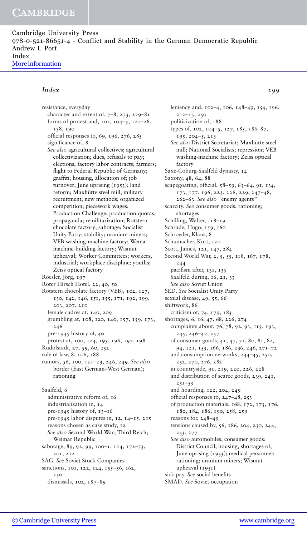Cambridge University Press 978-0-521-86651-4 - Conflict and Stability in the German Democratic Republic Andrew I. Port Index [More information](http://www.cambridge.org/0521866510)

### *Index* 299

resistance, everyday character and extent of,  $7-8$ ,  $273$ ,  $279-81$ forms of protest and, 101, 104–5, 120–28, 138, 190 official responses to, 69, 196, 276, 285 significance of, 8 *See also* agricultural collectives; agricultural collectivization; dues, refusals to pay; elections; factory labor contracts; farmers; flight to Federal Republic of Germany; graffiti; housing, allocation of; job turnover; June uprising (1953); land reform; Maxhütte steel mill; military recruitment; new methods; organized competition; piecework wages; Production Challenge; production quotas; propaganda; remilitarization; Rotstern chocolate factory; sabotage; Socialist Unity Party; stability; uranium miners; VEB washing-machine factory; Wema machine-building factory; Wismut upheaval; Worker Committees; workers, industrial; workplace discipline; youths; Zeiss optical factory Roesler, Jörg, 197 Roter Hirsch Hotel, 22, 40, 50 Rotstern chocolate factory (VEB), 102, 127, 130, 142, 146, 151, 155, 171, 192, 199, 203, 207, 210 female cadres at, 140, 209 grumbling at, 108, 120, 140, 157, 159, 173, 246 pre-1945 history of, 40 protest at, 100, 124, 195, 196, 197, 198 Rudolstadt, 27, 59, 60, 252 rule of law, 8, 106, 188 rumors, 56, 100, 121–23, 246, 249. *See also* border (East German–West German); rationing Saalfeld, 6 administrative reform of, 16 industrialization in, 14 pre-1945 history of, 13–16 pre-1945 labor disputes in, 12, 14–15, 215 reasons chosen as case study, 12 *See also* Second World War; Third Reich; Weimar Republic sabotage, 89, 92, 99, 100–1, 104, 172–73, 201, 212 SAG. *See* Soviet Stock Companies sanctions, 101, 122, 124, 155-56, 162, 250

dismissals, 102, 187–89

leniency and, 102–4, 106, 148–49, 154, 196, 212–13, 250 politicization of, 188 types of, 102, 104–5, 127, 185, 186–87, 195, 204–5, 213 *See also* District Secretariat; Maxhutte steel ¨ mill; National Socialists; repression; VEB washing-machine factory; Zeiss optical factory Saxe-Coburg-Saalfeld dynasty, 14 Saxony, 48, 64, 88 scapegoating, official, 58–59, 63–64, 91, 134, 173, 177, 196, 223, 226, 229, 247–48, 262–63. *See also* "enemy agents" scarcity. *See* consumer goods; rationing; shortages Schilling, Walter, 118-19 Schrade, Hugo, 159, 160 Schroeder, Klaus, 8 Schumacher, Kurt, 120 Scott, James, 121, 147, 284 Second World War, 2, 5, 55, 118, 167, 178, 244 pacifism after, 131, 133 Saalfeld during, 16, 21, 33 *See also* Soviet Union SED. *See* Socialist Unity Party sexual disease, 49, 55, 66 shiftwork, 86 criticism of, 74, 179, 183 shortages, 6, 16, 47, 68, 226, 274 complaints about, 76, 78, 92, 93, 115, 193, 245, 246–47, 257 of consumer goods, 41, 47, 71, 80, 81, 82, 94, 121, 153, 166, 186, 236, 246, 271–72 and consumption networks, 244–45, 250, 252, 270, 276, 282 in countryside, 91, 219, 220, 226, 228 and distribution of scarce goods, 239, 241, 251–53 and hoarding, 122, 204, 249 official responses to, 247–48, 253 of production materials, 168, 172, 173, 176, 180, 184, 186, 190, 258, 259 reasons for, 248–49 tensions caused by, 56, 186, 204, 230, 244, 253, 277 *See also* automobiles; consumer goods; District Council; housing, shortages of; June uprising (1953); medical personnel; rationing; uranium miners; Wismut upheaval (1951) sick pay. *See* social benefits SMAD. *See* Soviet occupation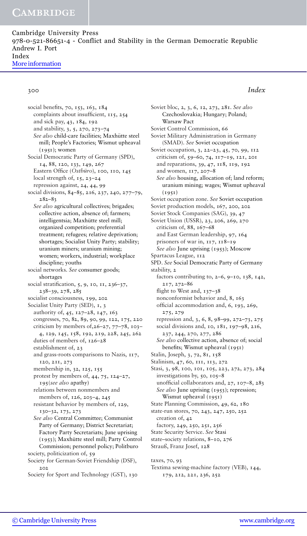Cambridge University Press 978-0-521-86651-4 - Conflict and Stability in the German Democratic Republic Andrew I. Port Index [More information](http://www.cambridge.org/0521866510)

### 300 *Index*

social benefits, 70, 153, 163, 184 complaints about insufficient, 115, 254 and sick pay, 43, 184, 192 and stability, 3, 5, 270, 273–74 See also child-care facilities; Maxhütte steel mill; People's Factories; Wismut upheaval (1951); women Social Democratic Party of Germany (SPD), 14, 88, 120, 133, 149, 267 Eastern Office (Ostbüro), 100, 110, 145 local strength of, 15, 23–24 repression against, 24, 44, 99 social divisions, 84–85, 216, 237, 240, 277–79, 282–83 *See also* agricultural collectives; brigades; collective action, absence of; farmers; intelligentsia; Maxhütte steel mill; organized competition; preferential treatment; refugees; relative deprivation; shortages; Socialist Unity Party; stability; uranium miners; uranium mining; women; workers, industrial; workplace discipline; youths social networks. *See* consumer goods; shortages social stratification, 5, 9, 10, 11, 236–37, 238–39, 278, 285 socialist consciousness, 199, 202 Socialist Unity Party (SED), 1, 3 authority of, 45, 127–28, 147, 163 congresses, 70, 82, 89, 90, 99, 122, 175, 220 criticism by members of,  $26-27$ ,  $77-78$ ,  $103-$ 4, 129, 145, 158, 192, 219, 228, 245, 262 duties of members of, 126–28 establishment of, 23 and grass-roots comparisons to Nazis, 117, 120, 211, 273 membership in, 32, 125, 155 protest by members of, 44, 75, 124–27, 195(*see also* apathy) relations between nonmembers and members of, 126, 203–4, 245 resistant behavior by members of, 129, 130–32, 173, 273 *See also* Central Committee; Communist Party of Germany; District Secretariat; Factory Party Secretariats; June uprising (1953); Maxhütte steel mill; Party Control Commission; personnel policy; Politburo society, politicization of, 59 Society for German-Soviet Friendship (DSF), 202 Society for Sport and Technology (GST), 130

Soviet bloc, 2, 3, 6, 12, 273, 281. *See also* Czechoslovakia; Hungary; Poland; Warsaw Pact Soviet Control Commission, 66 Soviet Military Administration in Germany (SMAD). *See* Soviet occupation Soviet occupation, 3, 22-23, 45, 70, 99, 112 criticism of, 59–60, 74, 117–19, 121, 201 and reparations, 39, 47, 118, 119, 192 and women, 117, 207–8 *See also* housing, allocation of; land reform; uranium mining; wages; Wismut upheaval  $(1951)$ Soviet occupation zone. *See* Soviet occupation Soviet production models, 167, 200, 202 Soviet Stock Companies (SAG), 39, 47 Soviet Union (USSR), 23, 206, 269, 270 criticism of, 88, 167–68 and East German leadership, 97, 164 prisoners of war in, 117, 118–19 *See also* June uprising (1953); Moscow Spartacus League, 112 SPD. *See* Social Democratic Party of Germany stability, 2 factors contributing to, 2–6, 9–10, 138, 142, 217, 272–86 flight to West and, 137-38 nonconformist behavior and, 8, 163 official accommodation and, 6, 193, 269, 275, 279 repression and, 3, 6, 8, 98–99, 272–73, 275 social divisions and, 10, 181, 197–98, 216, 237, 244, 270, 277, 286 *See also* collective action, absence of; social benefits; Wismut upheaval (1951) Stalin, Joseph, 3, 72, 81, 158 Stalinism, 47, 60, 111, 113, 272 Stasi, 3, 98, 100, 101, 105, 223, 272, 273, 284 investigations by, 50, 105–8 unofficial collaborators and, 27, 107–8, 283 *See also* June uprising (1953); repression; Wismut upheaval (1951) State Planning Commission, 49, 62, 180 state-run stores, 70, 243, 247, 250, 252 creation of, 42 factory, 249, 250, 251, 256 State Security Service. *See* Stasi state–society relations, 8–10, 276 Strauß, Franz Josef, 128 taxes, 70, 93

Textima sewing-machine factory (VEB), 144, 179, 212, 221, 236, 252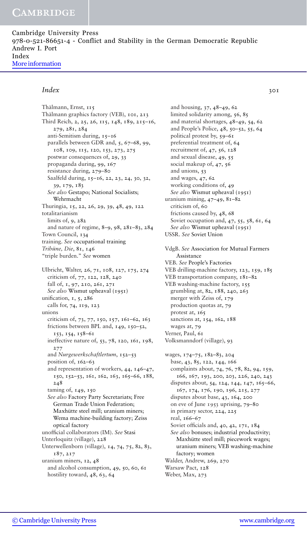Cambridge University Press 978-0-521-86651-4 - Conflict and Stability in the German Democratic Republic Andrew I. Port Index [More information](http://www.cambridge.org/0521866510)

### *Index* 301

Thälmann, Ernst, 115 Thälmann graphics factory (VEB), 101, 213 Third Reich, 2, 25, 26, 115, 148, 189, 215–16, 279, 281, 284 anti-Semitism during, 15–16 parallels between GDR and, 5, 67–68, 99, 108, 109, 115, 120, 153, 273, 275 postwar consequences of, 29, 33 propaganda during, 99, 167 resistance during, 279–80 Saalfeld during, 15-16, 22, 23, 24, 30, 32, 39, 179, 183 *See also* Gestapo; National Socialists; Wehrmacht Thuringia, 15, 22, 26, 29, 39, 48, 49, 122 totalitarianism limits of, 9, 282 and nature of regime, 8–9, 98, 281–83, 284 Town Council, 134 training. *See* occupational training *Tribüne, Die, 81, 146* "triple burden." *See* women Ulbricht, Walter, 26, 71, 108, 127, 175, 274 criticism of, 77, 122, 128, 240 fall of, 1, 97, 210, 261, 271 *See also* Wismut upheaval (1951) unification, 1, 5, 286 calls for, 74, 119, 123 unions criticism of, 73, 77, 150, 157, 161–62, 163 frictions between BPL and, 149, 150–52, 153, 154, 158–61 ineffective nature of, 53, 78, 120, 161, 198, 277 and *Nurgewerkschaftlertum*, 152–53 position of, 162–63 and representation of workers, 44, 146–47, 150, 152–53, 161, 162, 163, 165–66, 188, 248 taming of, 149, 150 *See also* Factory Party Secretariats; Free German Trade Union Federation; Maxhütte steel mill: uranium miners: Wema machine-building factory; Zeiss optical factory unofficial collaborators (IM). *See* Stasi Unterloquitz (village), 228 Unterwellenborn (village), 14, 74, 75, 82, 83, 187, 217 uranium miners, 12, 48 and alcohol consumption, 49, 50, 60, 61 hostility toward, 48, 63, 64

and housing, 37, 48–49, 62 limited solidarity among, 56, 85 and material shortages, 48–49, 54, 62 and People's Police, 48, 50–52, 55, 64 political protest by, 59–61 preferential treatment of, 64 recruitment of, 47, 56, 128 and sexual disease, 49, 55 social makeup of, 47, 56 and unions, 53 and wages, 47, 62 working conditions of, 49 *See also* Wismut upheaval (1951) uranium mining, 47–49, 81–82 criticism of, 60 frictions caused by, 48, 68 Soviet occupation and, 47, 55, 58, 61, 64 *See also* Wismut upheaval (1951) USSR. *See* Soviet Union VdgB. *See* Association for Mutual Farmers Assistance VEB. *See* People's Factories VEB drilling-machine factory, 123, 159, 185 VEB transportation company, 181–82 VEB washing-machine factory, 155 grumbling at, 82, 188, 240, 263 merger with Zeiss of, 179 production quotas at, 79 protest at, 165 sanctions at, 154, 162, 188 wages at, 79 Verner, Paul, 61 Volksmanndorf (village), 93 wages, 174–75, 182–83, 204 base, 43, 85, 122, 144, 166 complaints about, 74, 76, 78, 82, 94, 159, 166, 167, 193, 200, 203, 226, 240, 243 disputes about, 54, 124, 144, 147, 165–66, 167, 174, 176, 190, 196, 215, 277 disputes about base, 43, 164, 200 on eve of June 1953 uprising, 79–80 in primary sector, 224, 225 real, 166–67 Soviet officials and, 40, 42, 171, 184 *See also* bonuses; industrial productivity; Maxhütte steel mill; piecework wages; uranium miners; VEB washing-machine factory; women Walder, Andrew, 269, 270 Warsaw Pact, 128 Weber, Max, 273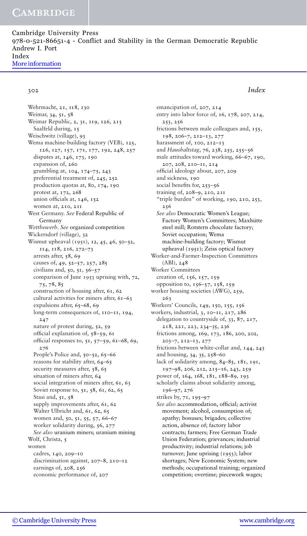Cambridge University Press 978-0-521-86651-4 - Conflict and Stability in the German Democratic Republic Andrew I. Port Index [More information](http://www.cambridge.org/0521866510)

### 302 *Index*

Wehrmacht, 21, 118, 130 Weimar, 34, 51, 58 Weimar Republic, 2, 31, 119, 126, 215 Saalfeld during, 15 Weischwitz (village), 93 Wema machine-building factory (VEB), 125, 126, 127, 157, 171, 177, 192, 248, 257 disputes at, 146, 173, 190 expansion of, 260 grumbling at, 104, 174–75, 243 preferential treatment of, 245, 252 production quotas at, 80, 174, 190 protest at, 172, 268 union officials at, 146, 152 women at, 210, 211 West Germany. *See* Federal Republic of Germany *Wettbewerb*. *See* organized competition Wickersdorf (village), 32 Wismut upheaval (1951), 12, 45, 46, 50-52, 114, 118, 216, 272–73 arrests after, 58, 69 causes of, 49, 52–57, 257, 285 civilians and, 50, 51, 56–57 comparison of June 1953 uprising with, 72, 75, 78, 85 construction of housing after, 61, 62 cultural activities for miners after, 61–63 expulsions after, 65–68, 69 long-term consequences of, 110–11, 194, 247 nature of protest during, 52, 59 official explanation of, 58–59, 61 official responses to, 51, 57–59, 61–68, 69, 276 People's Police and, 50–52, 65–66 reasons for stability after, 64–65 security measures after, 58, 65 situation of miners after, 64 social integration of miners after, 61, 63 Soviet response to, 51, 58, 61, 62, 65 Stasi and, 51, 58 supply improvements after, 61, 62 Walter Ulbricht and, 61, 62, 65 women and, 50, 51, 55, 57, 66–67 worker solidarity during, 56, 277 *See also* uranium miners; uranium mining Wolf, Christa, 5 women cadres, 140, 209–10 discrimination against, 207–8, 210–12 earnings of, 208, 256 economic performance of, 207

emancipation of, 207, 214 entry into labor force of, 16, 178, 207, 214, 253, 256 frictions between male colleagues and, 155, 198, 206–7, 212–13, 277 harassment of, 100, 212–13 and *Haushaltstag*, 76, 238, 253, 255–56 male attitudes toward working, 66–67, 190, 207, 208, 210–11, 214 official ideology about, 207, 209 and sickness, 190 social benefits for, 253–56 training of, 208–9, 210, 211 "triple burden" of working, 190, 210, 253, 256 *See also* Democratic Women's League; Factory Women's Committees; Maxhütte steel mill; Rotstern chocolate factory; Soviet occupation; Wema machine-building factory; Wismut upheaval (1951); Zeiss optical factory Worker-and-Farmer-Inspection Committees (ABI), 248 Worker Committees creation of, 156, 157, 159 opposition to, 156–57, 158, 159 worker housing societies (AWG), 259, 263 Workers' Councils, 149, 150, 155, 156 workers, industrial, 3, 10–11, 217, 286 delegation to countryside of, 33, 87, 217, 218, 221, 223, 234–35, 236 frictions among, 169, 173, 186, 200, 202, 203–7, 212–13, 277 frictions between white-collar and, 144, 243 and housing, 34, 35, 258–60 lack of solidarity among, 84–85, 181, 191, 197–98, 206, 212, 215–16, 243, 259 power of, 164, 168, 181, 188–89, 193 scholarly claims about solidarity among, 196–97, 276 strikes by, 71, 195–97 *See also* accommodation, official; activist movement; alcohol, consumption of; apathy; bonuses; brigades; collective action, absence of; factory labor contracts; farmers; Free German Trade Union Federation; grievances; industrial productivity; industrial relations; job turnover; June uprising (1953); labor shortages; New Economic System; new methods; occupational training; organized

competition; overtime; piecework wages;